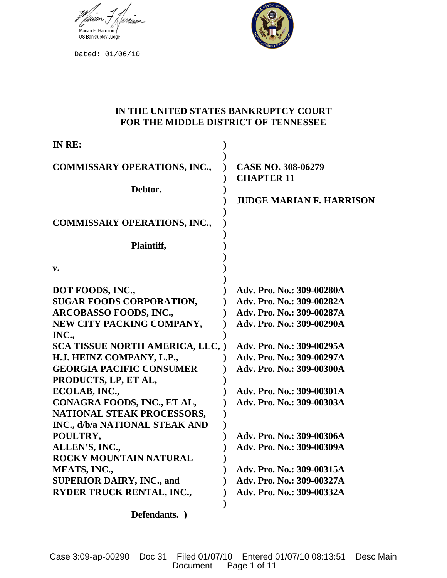

Dated: 01/06/10



# **IN THE UNITED STATES BANKRUPTCY COURT FOR THE MIDDLE DISTRICT OF TENNESSEE**

| IN RE:                                                                                                                                                                                                                                                                                                                                                                        |                                                                                                                                                                                                                                                                   |
|-------------------------------------------------------------------------------------------------------------------------------------------------------------------------------------------------------------------------------------------------------------------------------------------------------------------------------------------------------------------------------|-------------------------------------------------------------------------------------------------------------------------------------------------------------------------------------------------------------------------------------------------------------------|
| <b>COMMISSARY OPERATIONS, INC.,</b><br>Debtor.                                                                                                                                                                                                                                                                                                                                | <b>CASE NO. 308-06279</b><br><b>CHAPTER 11</b><br><b>JUDGE MARIAN F. HARRISON</b>                                                                                                                                                                                 |
| <b>COMMISSARY OPERATIONS, INC.,</b>                                                                                                                                                                                                                                                                                                                                           |                                                                                                                                                                                                                                                                   |
| Plaintiff,                                                                                                                                                                                                                                                                                                                                                                    |                                                                                                                                                                                                                                                                   |
| v.                                                                                                                                                                                                                                                                                                                                                                            |                                                                                                                                                                                                                                                                   |
| DOT FOODS, INC.,<br><b>SUGAR FOODS CORPORATION,</b><br><b>ARCOBASSO FOODS, INC.,</b><br>NEW CITY PACKING COMPANY,<br>INC.,<br>SCA TISSUE NORTH AMERICA, LLC, )<br>H.J. HEINZ COMPANY, L.P.,<br><b>GEORGIA PACIFIC CONSUMER</b><br>PRODUCTS, LP, ET AL,<br>ECOLAB, INC.,<br>CONAGRA FOODS, INC., ET AL,<br>NATIONAL STEAK PROCESSORS,<br><b>INC., d/b/a NATIONAL STEAK AND</b> | Adv. Pro. No.: 309-00280A<br>Adv. Pro. No.: 309-00282A<br>Adv. Pro. No.: 309-00287A<br>Adv. Pro. No.: 309-00290A<br>Adv. Pro. No.: 309-00295A<br>Adv. Pro. No.: 309-00297A<br>Adv. Pro. No.: 309-00300A<br>Adv. Pro. No.: 309-00301A<br>Adv. Pro. No.: 309-00303A |
| POULTRY,<br>ALLEN'S, INC.,                                                                                                                                                                                                                                                                                                                                                    | Adv. Pro. No.: 309-00306A<br>Adv. Pro. No.: 309-00309A                                                                                                                                                                                                            |
| ROCKY MOUNTAIN NATURAL<br><b>MEATS, INC.,</b><br><b>SUPERIOR DAIRY, INC., and</b><br>RYDER TRUCK RENTAL, INC.,                                                                                                                                                                                                                                                                | Adv. Pro. No.: 309-00315A<br>Adv. Pro. No.: 309-00327A<br>Adv. Pro. No.: 309-00332A                                                                                                                                                                               |

**Defendants. )**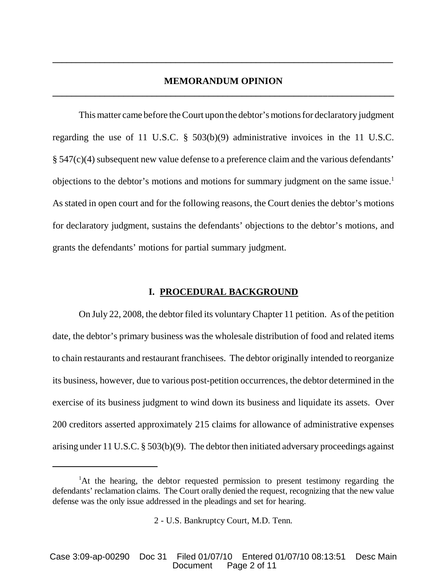## **MEMORANDUM OPINION \_\_\_\_\_\_\_\_\_\_\_\_\_\_\_\_\_\_\_\_\_\_\_\_\_\_\_\_\_\_\_\_\_\_\_\_\_\_\_\_\_\_\_\_\_\_\_\_\_\_\_\_\_\_\_\_\_\_\_\_\_\_\_\_\_\_\_\_\_\_\_\_**

**\_\_\_\_\_\_\_\_\_\_\_\_\_\_\_\_\_\_\_\_\_\_\_\_\_\_\_\_\_\_\_\_\_\_\_\_\_\_\_\_\_\_\_\_\_\_\_\_\_\_\_\_\_\_\_\_\_\_\_\_\_\_\_\_\_\_\_\_\_\_\_\_**

This matter came before the Court upon the debtor's motions for declaratory judgment regarding the use of 11 U.S.C. § 503(b)(9) administrative invoices in the 11 U.S.C. § 547(c)(4) subsequent new value defense to a preference claim and the various defendants' objections to the debtor's motions and motions for summary judgment on the same issue.<sup>1</sup> As stated in open court and for the following reasons, the Court denies the debtor's motions for declaratory judgment, sustains the defendants' objections to the debtor's motions, and grants the defendants' motions for partial summary judgment.

### **I. PROCEDURAL BACKGROUND**

On July 22, 2008, the debtor filed its voluntary Chapter 11 petition. As of the petition date, the debtor's primary business was the wholesale distribution of food and related items to chain restaurants and restaurant franchisees. The debtor originally intended to reorganize its business, however, due to various post-petition occurrences, the debtor determined in the exercise of its business judgment to wind down its business and liquidate its assets. Over 200 creditors asserted approximately 215 claims for allowance of administrative expenses arising under 11 U.S.C. § 503(b)(9). The debtor then initiated adversary proceedings against

<sup>&</sup>lt;sup>1</sup>At the hearing, the debtor requested permission to present testimony regarding the defendants' reclamation claims. The Court orally denied the request, recognizing that the new value defense was the only issue addressed in the pleadings and set for hearing.

<sup>2</sup> - U.S. Bankruptcy Court, M.D. Tenn.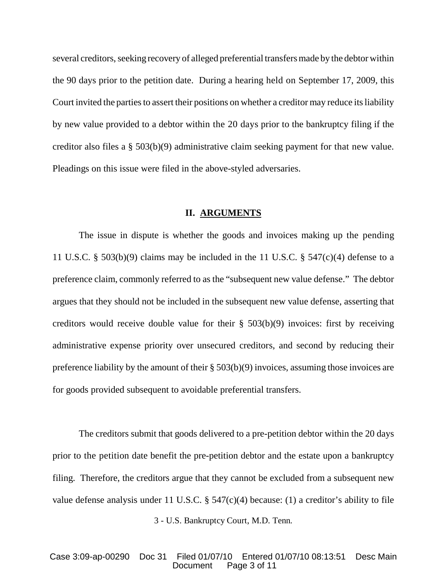several creditors, seeking recovery of alleged preferential transfers made by the debtor within the 90 days prior to the petition date. During a hearing held on September 17, 2009, this Court invited the parties to assert their positions on whether a creditor may reduce its liability by new value provided to a debtor within the 20 days prior to the bankruptcy filing if the creditor also files a § 503(b)(9) administrative claim seeking payment for that new value. Pleadings on this issue were filed in the above-styled adversaries.

## **II. ARGUMENTS**

The issue in dispute is whether the goods and invoices making up the pending 11 U.S.C. § 503(b)(9) claims may be included in the 11 U.S.C. § 547(c)(4) defense to a preference claim, commonly referred to as the "subsequent new value defense." The debtor argues that they should not be included in the subsequent new value defense, asserting that creditors would receive double value for their  $\S$  503(b)(9) invoices: first by receiving administrative expense priority over unsecured creditors, and second by reducing their preference liability by the amount of their § 503(b)(9) invoices, assuming those invoices are for goods provided subsequent to avoidable preferential transfers.

The creditors submit that goods delivered to a pre-petition debtor within the 20 days prior to the petition date benefit the pre-petition debtor and the estate upon a bankruptcy filing. Therefore, the creditors argue that they cannot be excluded from a subsequent new value defense analysis under 11 U.S.C.  $\S$  547(c)(4) because: (1) a creditor's ability to file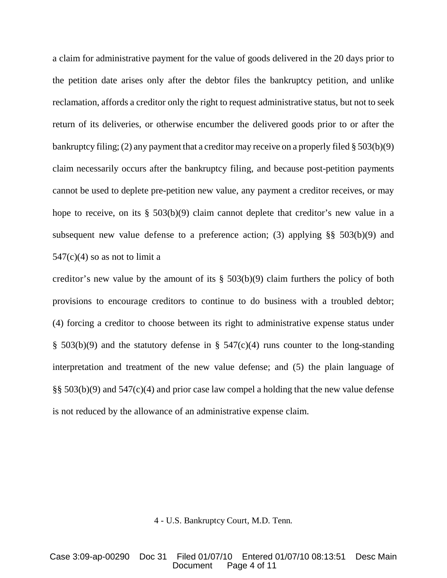a claim for administrative payment for the value of goods delivered in the 20 days prior to the petition date arises only after the debtor files the bankruptcy petition, and unlike reclamation, affords a creditor only the right to request administrative status, but not to seek return of its deliveries, or otherwise encumber the delivered goods prior to or after the bankruptcy filing; (2) any payment that a creditor may receive on a properly filed § 503(b)(9) claim necessarily occurs after the bankruptcy filing, and because post-petition payments cannot be used to deplete pre-petition new value, any payment a creditor receives, or may hope to receive, on its § 503(b)(9) claim cannot deplete that creditor's new value in a subsequent new value defense to a preference action; (3) applying  $\S\S 503(b)(9)$  and  $547(c)(4)$  so as not to limit a

creditor's new value by the amount of its  $\S$  503(b)(9) claim furthers the policy of both provisions to encourage creditors to continue to do business with a troubled debtor; (4) forcing a creditor to choose between its right to administrative expense status under § 503(b)(9) and the statutory defense in § 547(c)(4) runs counter to the long-standing interpretation and treatment of the new value defense; and (5) the plain language of §§ 503(b)(9) and 547(c)(4) and prior case law compel a holding that the new value defense is not reduced by the allowance of an administrative expense claim.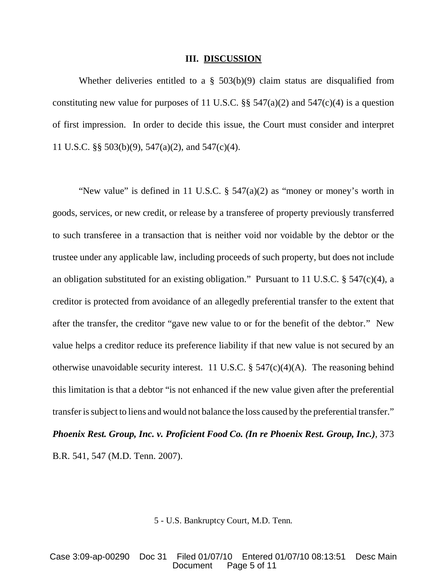#### **III. DISCUSSION**

Whether deliveries entitled to a § 503(b)(9) claim status are disqualified from constituting new value for purposes of 11 U.S.C.  $\S$ § 547(a)(2) and 547(c)(4) is a question of first impression. In order to decide this issue, the Court must consider and interpret 11 U.S.C. §§ 503(b)(9), 547(a)(2), and 547(c)(4).

"New value" is defined in 11 U.S.C.  $\S$  547(a)(2) as "money or money's worth in goods, services, or new credit, or release by a transferee of property previously transferred to such transferee in a transaction that is neither void nor voidable by the debtor or the trustee under any applicable law, including proceeds of such property, but does not include an obligation substituted for an existing obligation." Pursuant to 11 U.S.C. § 547(c)(4), a creditor is protected from avoidance of an allegedly preferential transfer to the extent that after the transfer, the creditor "gave new value to or for the benefit of the debtor." New value helps a creditor reduce its preference liability if that new value is not secured by an otherwise unavoidable security interest. 11 U.S.C.  $\S$  547(c)(4)(A). The reasoning behind this limitation is that a debtor "is not enhanced if the new value given after the preferential transfer is subject to liens and would not balance the loss caused by the preferential transfer." *Phoenix Rest. Group, Inc. v. Proficient Food Co. (In re Phoenix Rest. Group, Inc.)*, 373 B.R. 541, 547 (M.D. Tenn. 2007).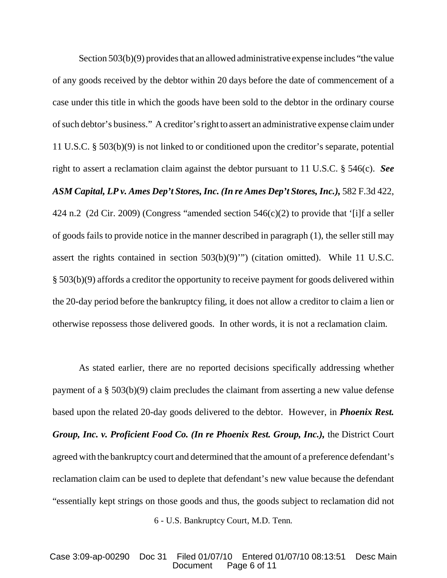Section  $503(b)(9)$  provides that an allowed administrative expense includes "the value of any goods received by the debtor within 20 days before the date of commencement of a case under this title in which the goods have been sold to the debtor in the ordinary course ofsuch debtor's business." A creditor'sright to assert an administrative expense claimunder 11 U.S.C. § 503(b)(9) is not linked to or conditioned upon the creditor's separate, potential right to assert a reclamation claim against the debtor pursuant to 11 U.S.C. § 546(c). *See ASM Capital, LP v. Ames Dep't Stores,Inc. (In re Ames Dep't Stores,Inc.),* 582 F.3d 422, 424 n.2 (2d Cir. 2009) (Congress "amended section 546(c)(2) to provide that '[i]f a seller of goods fails to provide notice in the manner described in paragraph (1), the seller still may assert the rights contained in section 503(b)(9)'") (citation omitted). While 11 U.S.C. § 503(b)(9) affords a creditor the opportunity to receive payment for goods delivered within the 20-day period before the bankruptcy filing, it does not allow a creditor to claim a lien or otherwise repossess those delivered goods. In other words, it is not a reclamation claim.

6 - U.S. Bankruptcy Court, M.D. Tenn. As stated earlier, there are no reported decisions specifically addressing whether payment of a § 503(b)(9) claim precludes the claimant from asserting a new value defense based upon the related 20-day goods delivered to the debtor. However, in *Phoenix Rest. Group, Inc. v. Proficient Food Co. (In re Phoenix Rest. Group, Inc.),* the District Court agreed with the bankruptcy court and determined that the amount of a preference defendant's reclamation claim can be used to deplete that defendant's new value because the defendant "essentially kept strings on those goods and thus, the goods subject to reclamation did not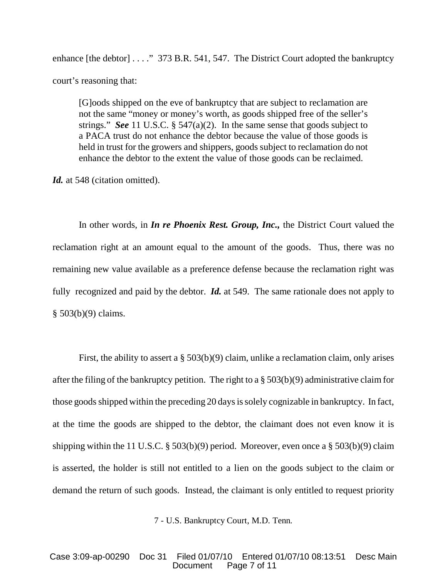enhance [the debtor] . . . . " 373 B.R. 541, 547. The District Court adopted the bankruptcy court's reasoning that:

[G]oods shipped on the eve of bankruptcy that are subject to reclamation are not the same "money or money's worth, as goods shipped free of the seller's strings." *See* 11 U.S.C. § 547(a)(2). In the same sense that goods subject to a PACA trust do not enhance the debtor because the value of those goods is held in trust for the growers and shippers, goods subject to reclamation do not enhance the debtor to the extent the value of those goods can be reclaimed.

Id. at 548 (citation omitted).

In other words, in *In re Phoenix Rest. Group, Inc.,* the District Court valued the reclamation right at an amount equal to the amount of the goods. Thus, there was no remaining new value available as a preference defense because the reclamation right was fully recognized and paid by the debtor. *Id.* at 549. The same rationale does not apply to § 503(b)(9) claims.

First, the ability to assert a § 503(b)(9) claim, unlike a reclamation claim, only arises after the filing of the bankruptcy petition. The right to a  $\S 503(b)(9)$  administrative claim for those goods shipped within the preceding 20 days is solely cognizable in bankruptcy. In fact, at the time the goods are shipped to the debtor, the claimant does not even know it is shipping within the 11 U.S.C. § 503(b)(9) period. Moreover, even once a § 503(b)(9) claim is asserted, the holder is still not entitled to a lien on the goods subject to the claim or demand the return of such goods. Instead, the claimant is only entitled to request priority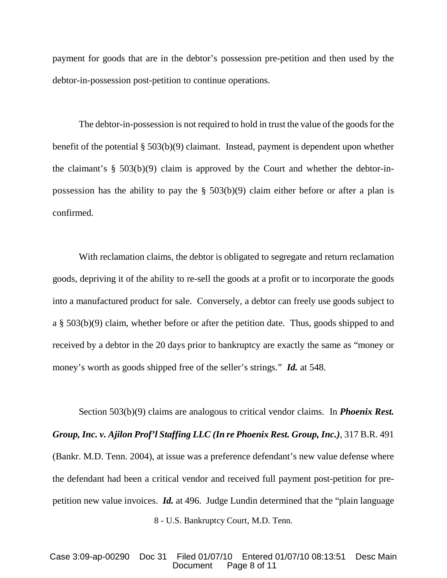payment for goods that are in the debtor's possession pre-petition and then used by the debtor-in-possession post-petition to continue operations.

The debtor-in-possession is not required to hold in trust the value of the goods for the benefit of the potential § 503(b)(9) claimant. Instead, payment is dependent upon whether the claimant's  $\S$  503(b)(9) claim is approved by the Court and whether the debtor-inpossession has the ability to pay the  $\S$  503(b)(9) claim either before or after a plan is confirmed.

With reclamation claims, the debtor is obligated to segregate and return reclamation goods, depriving it of the ability to re-sell the goods at a profit or to incorporate the goods into a manufactured product for sale. Conversely, a debtor can freely use goods subject to a § 503(b)(9) claim, whether before or after the petition date. Thus, goods shipped to and received by a debtor in the 20 days prior to bankruptcy are exactly the same as "money or money's worth as goods shipped free of the seller's strings." *Id.* at 548.

8 - U.S. Bankruptcy Court, M.D. Tenn. Section 503(b)(9) claims are analogous to critical vendor claims. In *Phoenix Rest. Group, Inc. v. Ajilon Prof'l Staffing LLC (In re Phoenix Rest. Group, Inc.)*, 317 B.R. 491 (Bankr. M.D. Tenn. 2004), at issue was a preference defendant's new value defense where the defendant had been a critical vendor and received full payment post-petition for prepetition new value invoices. *Id.* at 496. Judge Lundin determined that the "plain language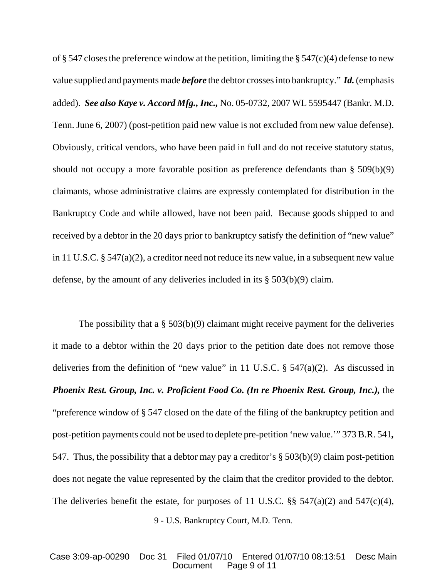of § 547 closes the preference window at the petition, limiting the § 547(c)(4) defense to new value supplied and payments made *before* the debtor crosses into bankruptcy." *Id.* (emphasis added). *See also Kaye v. Accord Mfg.,Inc.,* No. 05-0732, 2007 WL 5595447 (Bankr. M.D. Tenn. June 6, 2007) (post-petition paid new value is not excluded from new value defense). Obviously, critical vendors, who have been paid in full and do not receive statutory status, should not occupy a more favorable position as preference defendants than § 509(b)(9) claimants, whose administrative claims are expressly contemplated for distribution in the Bankruptcy Code and while allowed, have not been paid. Because goods shipped to and received by a debtor in the 20 days prior to bankruptcy satisfy the definition of "new value" in 11 U.S.C. § 547(a)(2), a creditor need not reduce its new value, in a subsequent new value defense, by the amount of any deliveries included in its § 503(b)(9) claim.

The possibility that a § 503(b)(9) claimant might receive payment for the deliveries it made to a debtor within the 20 days prior to the petition date does not remove those deliveries from the definition of "new value" in 11 U.S.C.  $\S$  547(a)(2). As discussed in *Phoenix Rest. Group, Inc. v. Proficient Food Co. (In re Phoenix Rest. Group, Inc.),* the "preference window of § 547 closed on the date of the filing of the bankruptcy petition and post-petition payments could not be used to deplete pre-petition 'new value.'" 373 B.R. 541*,* 547. Thus, the possibility that a debtor may pay a creditor's § 503(b)(9) claim post-petition does not negate the value represented by the claim that the creditor provided to the debtor. The deliveries benefit the estate, for purposes of 11 U.S.C.  $\S\S$  547(a)(2) and 547(c)(4),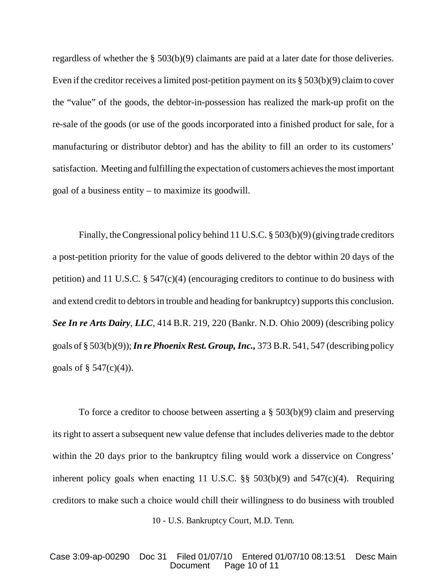regardless of whether the § 503(b)(9) claimants are paid at a later date for those deliveries. Even if the creditor receives a limited post-petition payment on its § 503(b)(9) claimto cover the "value" of the goods, the debtor-in-possession has realized the mark-up profit on the re-sale of the goods (or use of the goods incorporated into a finished product for sale, for a manufacturing or distributor debtor) and has the ability to fill an order to its customers' satisfaction. Meeting and fulfilling the expectation of customers achieves the most important goal of a business entity – to maximize its goodwill.

Finally, the Congressional policy behind 11 U.S.C. § 503(b)(9) (giving trade creditors a post-petition priority for the value of goods delivered to the debtor within 20 days of the petition) and 11 U.S.C. § 547(c)(4) (encouraging creditors to continue to do business with and extend credit to debtors in trouble and heading for bankruptcy) supports this conclusion. *See In re Arts Dairy*, *LLC*, 414 B.R. 219, 220 (Bankr. N.D. Ohio 2009) (describing policy goals of § 503(b)(9)); *In re PhoenixRest. Group,Inc.,* 373 B.R. 541, 547 (describing policy goals of  $\S 547(c)(4)$ ).

To force a creditor to choose between asserting a § 503(b)(9) claim and preserving its right to assert a subsequent new value defense that includes deliveries made to the debtor within the 20 days prior to the bankruptcy filing would work a disservice on Congress' inherent policy goals when enacting 11 U.S.C.  $\S$ § 503(b)(9) and 547(c)(4). Requiring creditors to make such a choice would chill their willingness to do business with troubled